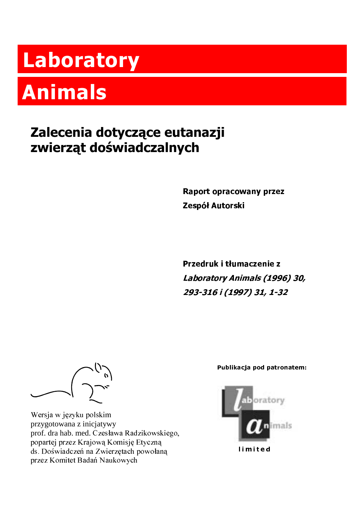## Laboratory

## **Animals**

## Zalecenia dotyczące eutanazji zwierząt doświadczalnych

Raport opracowany przez Zespół Autorski

Przedruk i tłumaczenie z Laboratory Animals (1996) 30, 293-316 i (1997) 31, 1-32

Wersja w języku polskim przygotowana z inicjatywy prof. dra hab. med. Czesława Radzikowskiego, popartej przez Krajową Komisję Etyczną ds. Doświadczeń na Zwierzętach powołaną przez Komitet Badań Naukowych

Publikacja pod patronatem: